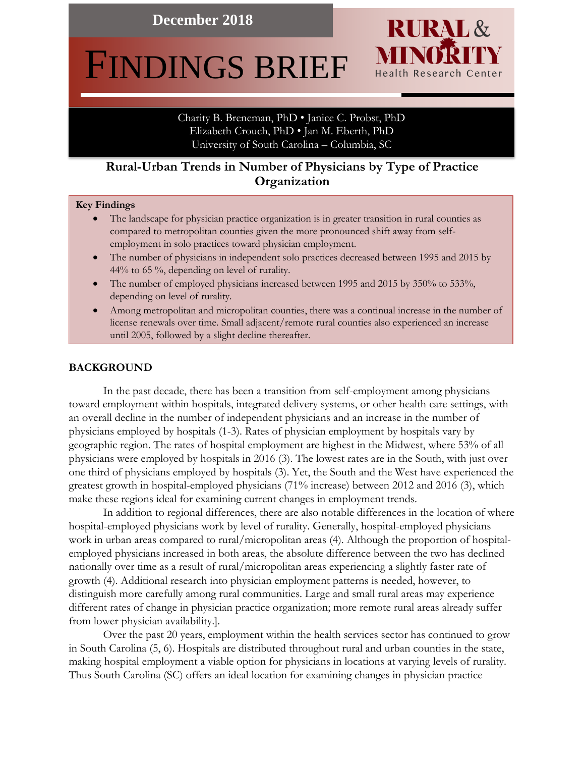**December 2018**

# FINDINGS BRIEF

Charity B. Breneman, PhD • Janice C. Probst, PhD Elizabeth Crouch, PhD • Jan M. Eberth, PhD University of South Carolina – Columbia, SC

**RURAL** &

**Health Research Center** 

MINOR

# **Rural-Urban Trends in Number of Physicians by Type of Practice**  . **Organization**

#### **Key Findings**

- The landscape for physician practice organization is in greater transition in rural counties as compared to metropolitan counties given the more pronounced shift away from selfemployment in solo practices toward physician employment.
- The number of physicians in independent solo practices decreased between 1995 and 2015 by 44% to 65 %, depending on level of rurality.
- The number of employed physicians increased between 1995 and 2015 by 350% to 533%, depending on level of rurality.
- Among metropolitan and micropolitan counties, there was a continual increase in the number of license renewals over time. Small adjacent/remote rural counties also experienced an increase until 2005, followed by a slight decline thereafter.

#### **BACKGROUND**

In the past decade, there has been a transition from self-employment among physicians toward employment within hospitals, integrated delivery systems, or other health care settings, with an overall decline in the number of independent physicians and an increase in the number of physicians employed by hospitals (1-3). Rates of physician employment by hospitals vary by geographic region. The rates of hospital employment are highest in the Midwest, where 53% of all physicians were employed by hospitals in 2016 (3). The lowest rates are in the South, with just over one third of physicians employed by hospitals (3). Yet, the South and the West have experienced the greatest growth in hospital-employed physicians (71% increase) between 2012 and 2016 (3), which make these regions ideal for examining current changes in employment trends.

In addition to regional differences, there are also notable differences in the location of where hospital-employed physicians work by level of rurality. Generally, hospital-employed physicians work in urban areas compared to rural/micropolitan areas (4). Although the proportion of hospitalemployed physicians increased in both areas, the absolute difference between the two has declined nationally over time as a result of rural/micropolitan areas experiencing a slightly faster rate of growth (4). Additional research into physician employment patterns is needed, however, to distinguish more carefully among rural communities. Large and small rural areas may experience different rates of change in physician practice organization; more remote rural areas already suffer from lower physician availability.].

Over the past 20 years, employment within the health services sector has continued to grow in South Carolina (5, 6). Hospitals are distributed throughout rural and urban counties in the state, making hospital employment a viable option for physicians in locations at varying levels of rurality. Thus South Carolina (SC) offers an ideal location for examining changes in physician practice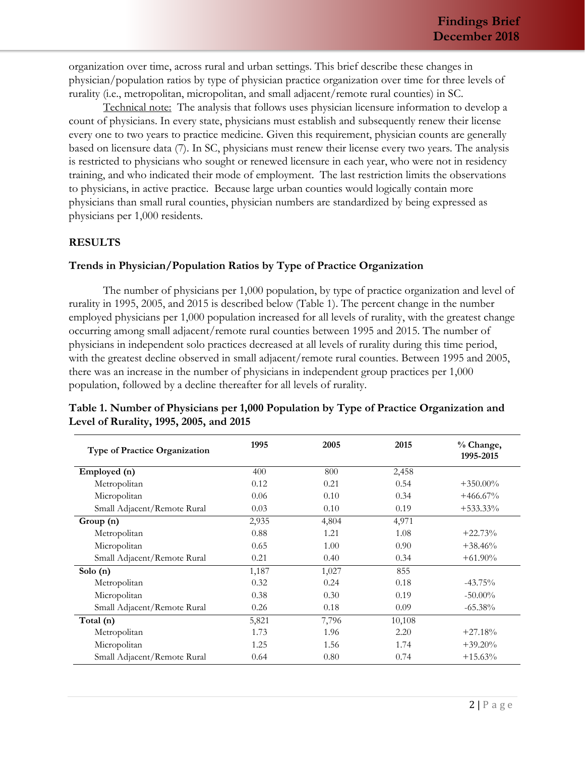organization over time, across rural and urban settings. This brief describe these changes in physician/population ratios by type of physician practice organization over time for three levels of rurality (i.e., metropolitan, micropolitan, and small adjacent/remote rural counties) in SC.

Technical note: The analysis that follows uses physician licensure information to develop a count of physicians. In every state, physicians must establish and subsequently renew their license every one to two years to practice medicine. Given this requirement, physician counts are generally based on licensure data (7). In SC, physicians must renew their license every two years. The analysis is restricted to physicians who sought or renewed licensure in each year, who were not in residency training, and who indicated their mode of employment. The last restriction limits the observations to physicians, in active practice. Because large urban counties would logically contain more physicians than small rural counties, physician numbers are standardized by being expressed as physicians per 1,000 residents.

#### **RESULTS**

### **Trends in Physician/Population Ratios by Type of Practice Organization**

The number of physicians per 1,000 population, by type of practice organization and level of rurality in 1995, 2005, and 2015 is described below (Table 1). The percent change in the number employed physicians per 1,000 population increased for all levels of rurality, with the greatest change occurring among small adjacent/remote rural counties between 1995 and 2015. The number of physicians in independent solo practices decreased at all levels of rurality during this time period, with the greatest decline observed in small adjacent/remote rural counties. Between 1995 and 2005, there was an increase in the number of physicians in independent group practices per 1,000 population, followed by a decline thereafter for all levels of rurality.

| Type of Practice Organization | 1995  | 2005  | 2015   | % Change,<br>1995-2015 |
|-------------------------------|-------|-------|--------|------------------------|
| Employed (n)                  | 400   | 800   | 2,458  |                        |
| Metropolitan                  | 0.12  | 0.21  | 0.54   | $+350.00\%$            |
| Micropolitan                  | 0.06  | 0.10  | 0.34   | $+466.67\%$            |
| Small Adjacent/Remote Rural   | 0.03  | 0.10  | 0.19   | $+533.33\%$            |
| Group (n)                     | 2,935 | 4,804 | 4,971  |                        |
| Metropolitan                  | 0.88  | 1.21  | 1.08   | $+22.73%$              |
| Micropolitan                  | 0.65  | 1.00  | 0.90   | $+38.46%$              |
| Small Adjacent/Remote Rural   | 0.21  | 0.40  | 0.34   | $+61.90\%$             |
| Solo $(n)$                    | 1,187 | 1,027 | 855    |                        |
| Metropolitan                  | 0.32  | 0.24  | 0.18   | $-43.75\%$             |
| Micropolitan                  | 0.38  | 0.30  | 0.19   | $-50.00\%$             |
| Small Adjacent/Remote Rural   | 0.26  | 0.18  | 0.09   | $-65.38\%$             |
| Total (n)                     | 5,821 | 7,796 | 10,108 |                        |
| Metropolitan                  | 1.73  | 1.96  | 2.20   | $+27.18%$              |
| Micropolitan                  | 1.25  | 1.56  | 1.74   | $+39.20\%$             |
| Small Adjacent/Remote Rural   | 0.64  | 0.80  | 0.74   | $+15.63%$              |

#### **Table 1. Number of Physicians per 1,000 Population by Type of Practice Organization and Level of Rurality, 1995, 2005, and 2015**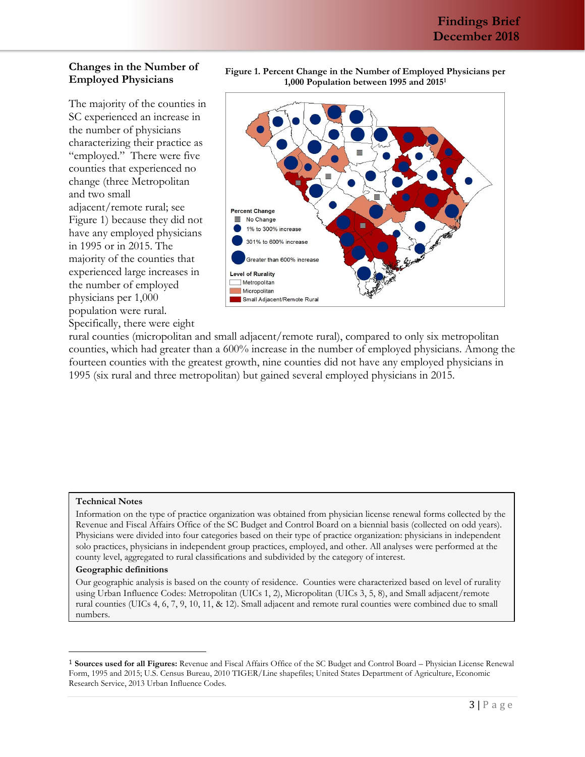## **Changes in the Number of Employed Physicians**

The majority of the counties in SC experienced an increase in the number of physicians characterizing their practice as "employed." There were five counties that experienced no change (three Metropolitan and two small adjacent/remote rural; see Figure 1) because they did not have any employed physicians in 1995 or in 2015. The majority of the counties that experienced large increases in the number of employed physicians per 1,000 population were rural. Specifically, there were eight

**Figure 1. Percent Change in the Number of Employed Physicians per 1,000 Population between 1995 and 2015<sup>1</sup>**



rural counties (micropolitan and small adjacent/remote rural), compared to only six metropolitan counties, which had greater than a 600% increase in the number of employed physicians. Among the fourteen counties with the greatest growth, nine counties did not have any employed physicians in 1995 (six rural and three metropolitan) but gained several employed physicians in 2015.

#### **Technical Notes**

Information on the type of practice organization was obtained from physician license renewal forms collected by the Revenue and Fiscal Affairs Office of the SC Budget and Control Board on a biennial basis (collected on odd years). Physicians were divided into four categories based on their type of practice organization: physicians in independent solo practices, physicians in independent group practices, employed, and other. All analyses were performed at the county level, aggregated to rural classifications and subdivided by the category of interest.

#### **Geographic definitions**

 $\overline{\phantom{0}}$ 

Our geographic analysis is based on the county of residence. Counties were characterized based on level of rurality using Urban Influence Codes: Metropolitan (UICs 1, 2), Micropolitan (UICs 3, 5, 8), and Small adjacent/remote rural counties (UICs 4, 6, 7, 9, 10, 11, & 12). Small adjacent and remote rural counties were combined due to small numbers.

<sup>1</sup> **Sources used for all Figures:** Revenue and Fiscal Affairs Office of the SC Budget and Control Board – Physician License Renewal Form, 1995 and 2015; U.S. Census Bureau, 2010 TIGER/Line shapefiles; United States Department of Agriculture, Economic Research Service, 2013 Urban Influence Codes.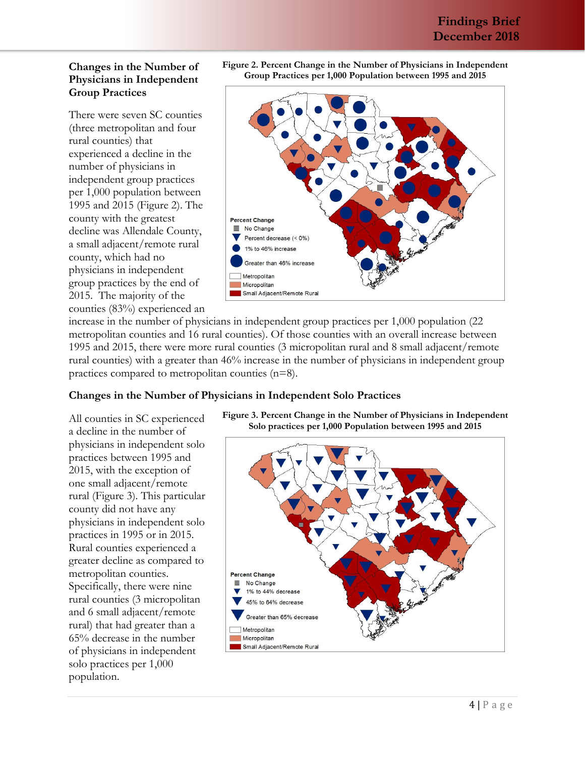## **Changes in the Number of Physicians in Independent Group Practices**

There were seven SC counties (three metropolitan and four rural counties) that experienced a decline in the number of physicians in independent group practices per 1,000 population between 1995 and 2015 (Figure 2). The county with the greatest decline was Allendale County, a small adjacent/remote rural county, which had no physicians in independent group practices by the end of 2015. The majority of the counties (83%) experienced an



**Figure 2. Percent Change in the Number of Physicians in Independent** 

increase in the number of physicians in independent group practices per 1,000 population (22 metropolitan counties and 16 rural counties). Of those counties with an overall increase between 1995 and 2015, there were more rural counties (3 micropolitan rural and 8 small adjacent/remote rural counties) with a greater than 46% increase in the number of physicians in independent group practices compared to metropolitan counties (n=8).

### **Changes in the Number of Physicians in Independent Solo Practices**

All counties in SC experienced a decline in the number of physicians in independent solo practices between 1995 and 2015, with the exception of one small adjacent/remote rural (Figure 3). This particular county did not have any physicians in independent solo practices in 1995 or in 2015. Rural counties experienced a greater decline as compared to metropolitan counties. Specifically, there were nine rural counties (3 micropolitan and 6 small adjacent/remote rural) that had greater than a 65% decrease in the number of physicians in independent solo practices per 1,000 population.



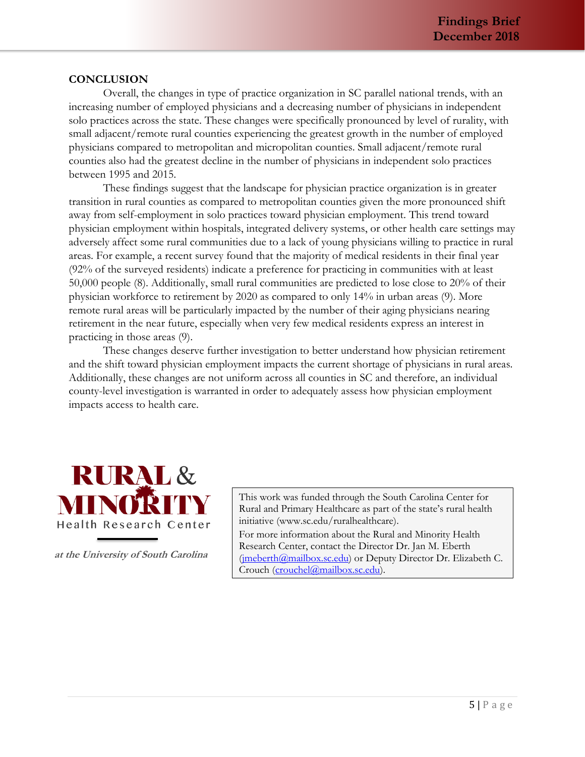### **CONCLUSION**

Overall, the changes in type of practice organization in SC parallel national trends, with an increasing number of employed physicians and a decreasing number of physicians in independent solo practices across the state. These changes were specifically pronounced by level of rurality, with small adjacent/remote rural counties experiencing the greatest growth in the number of employed physicians compared to metropolitan and micropolitan counties. Small adjacent/remote rural counties also had the greatest decline in the number of physicians in independent solo practices between 1995 and 2015.

These findings suggest that the landscape for physician practice organization is in greater transition in rural counties as compared to metropolitan counties given the more pronounced shift away from self-employment in solo practices toward physician employment. This trend toward physician employment within hospitals, integrated delivery systems, or other health care settings may adversely affect some rural communities due to a lack of young physicians willing to practice in rural areas. For example, a recent survey found that the majority of medical residents in their final year (92% of the surveyed residents) indicate a preference for practicing in communities with at least 50,000 people (8). Additionally, small rural communities are predicted to lose close to 20% of their physician workforce to retirement by 2020 as compared to only 14% in urban areas (9). More remote rural areas will be particularly impacted by the number of their aging physicians nearing retirement in the near future, especially when very few medical residents express an interest in practicing in those areas (9).

These changes deserve further investigation to better understand how physician retirement and the shift toward physician employment impacts the current shortage of physicians in rural areas. Additionally, these changes are not uniform across all counties in SC and therefore, an individual county-level investigation is warranted in order to adequately assess how physician employment impacts access to health care.



**at the University of South Carolina**

This work was funded through the South Carolina Center for Rural and Primary Healthcare as part of the state's rural health initiative (www.sc.edu/ruralhealthcare).

For more information about the Rural and Minority Health Research Center, contact the Director Dr. Jan M. Eberth (imeberth@mailbox.sc.edu) or Deputy Director Dr. Elizabeth C. Crouch [\(crouchel@mailbox.sc.edu\)](mailto:crouchel@mailbox.sc.edu).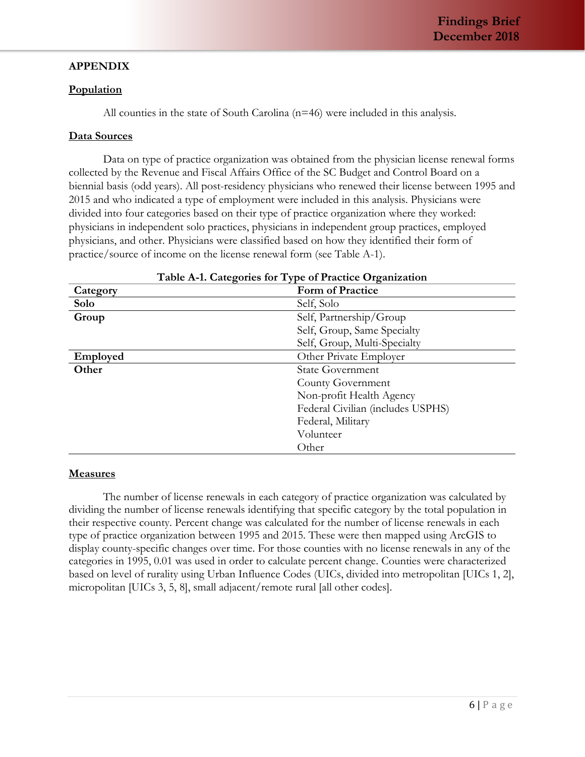# **APPENDIX**

#### **Population**

All counties in the state of South Carolina (n=46) were included in this analysis.

### **Data Sources**

Data on type of practice organization was obtained from the physician license renewal forms collected by the Revenue and Fiscal Affairs Office of the SC Budget and Control Board on a biennial basis (odd years). All post-residency physicians who renewed their license between 1995 and 2015 and who indicated a type of employment were included in this analysis. Physicians were divided into four categories based on their type of practice organization where they worked: physicians in independent solo practices, physicians in independent group practices, employed physicians, and other. Physicians were classified based on how they identified their form of practice/source of income on the license renewal form (see Table A-1).

| <b>Table A-1. Categories for Type of Practice Organization</b> |                                   |  |  |
|----------------------------------------------------------------|-----------------------------------|--|--|
| Category                                                       | <b>Form of Practice</b>           |  |  |
| Solo                                                           | Self, Solo                        |  |  |
| Group                                                          | Self, Partnership/Group           |  |  |
|                                                                | Self, Group, Same Specialty       |  |  |
|                                                                | Self, Group, Multi-Specialty      |  |  |
| Employed                                                       | Other Private Employer            |  |  |
| Other                                                          | <b>State Government</b>           |  |  |
|                                                                | County Government                 |  |  |
|                                                                | Non-profit Health Agency          |  |  |
|                                                                | Federal Civilian (includes USPHS) |  |  |
|                                                                | Federal, Military                 |  |  |
|                                                                | Volunteer                         |  |  |
|                                                                | Other                             |  |  |

# **Table A-1. Categories for Type of Practice Organization**

### **Measures**

The number of license renewals in each category of practice organization was calculated by dividing the number of license renewals identifying that specific category by the total population in their respective county. Percent change was calculated for the number of license renewals in each type of practice organization between 1995 and 2015. These were then mapped using ArcGIS to display county-specific changes over time. For those counties with no license renewals in any of the categories in 1995, 0.01 was used in order to calculate percent change. Counties were characterized based on level of rurality using Urban Influence Codes (UICs, divided into metropolitan [UICs 1, 2], micropolitan [UICs 3, 5, 8], small adjacent/remote rural [all other codes].